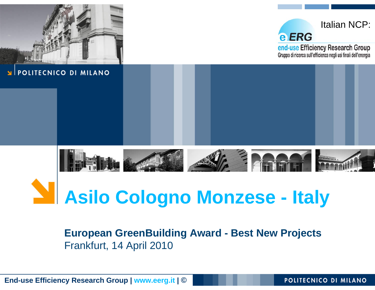

# **Asilo Cologno Monzese - Italy**

#### **European GreenBuilding Award - Best New Projects** Frankfurt, 14 April 2010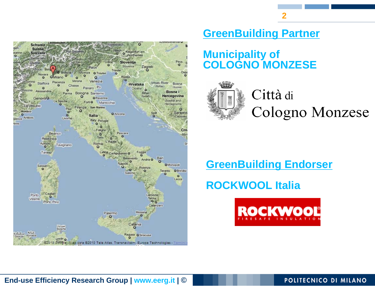

**GreenBuilding Partner**

**2**

#### **Municipality of COLOGNO MONZESE**



Città di Cologno Monzese

#### **GreenBuilding Endorser**

## **ROCKWOOL Italia**

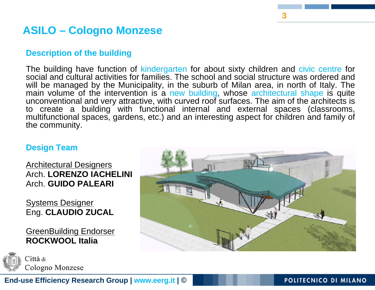## **ASILO – Cologno Monzese**

#### **Description of the building**

The building have function of kindergarten for about sixty children and civic centre for social and cultural activities for families. The school and social structure was ordered and will be managed by the Municipality, in the suburb of Milan area, in north of Italy. The main volume of the intervention is a new building, whose architectural shape is quite unconventional and very attractive, with curved roof surfaces. The aim of the architects is to create a building with functional internal and external spaces (classrooms, multifunctional spaces, gardens, etc.) and an interesting aspect for children and family of the community.

#### **Design Team**

Architectural Designers Arch. **LORENZO IACHELINI** Arch. **GUIDO PALEARI**

**Systems Designer** Eng. **CLAUDIO ZUCAL**

GreenBuilding Endorser **ROCKWOOL Italia**

Città di Cologno Monzese



**3**

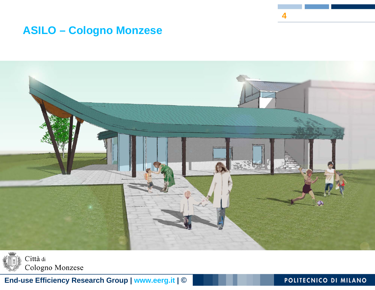### **ASILO - Cologno Monzese**





End-use Efficiency Research Group | www.eerg.it | ©

POLITECNICO DI MILANO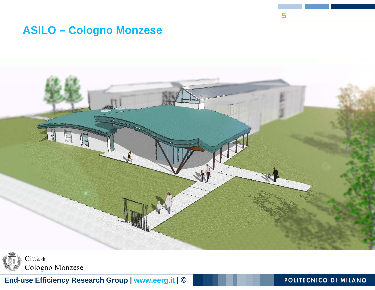#### **ASILO - Cologno Monzese**



Città di Cologno Monzese

End-use Efficiency Research Group | www.eerg.it | ©

#### POLITECNICO DI MILANO

5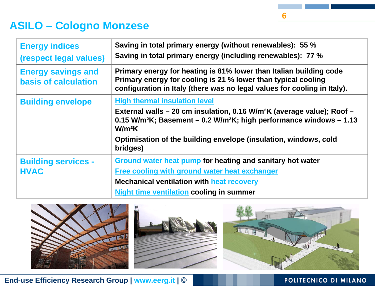## **ASILO – Cologno Monzese**

| <b>Energy indices</b><br>(respect legal values)          | Saving in total primary energy (without renewables): 55 %<br>Saving in total primary energy (including renewables): 77 %                                                                                                                                                                                                  |
|----------------------------------------------------------|---------------------------------------------------------------------------------------------------------------------------------------------------------------------------------------------------------------------------------------------------------------------------------------------------------------------------|
| <b>Energy savings and</b><br><b>basis of calculation</b> | Primary energy for heating is 81% lower than Italian building code<br>Primary energy for cooling is 21 % lower than typical cooling<br>configuration in Italy (there was no legal values for cooling in Italy).                                                                                                           |
| <b>Building envelope</b>                                 | <b>High thermal insulation level</b><br>External walls – 20 cm insulation, 0.16 W/m <sup>2</sup> K (average value); Roof –<br>0.15 W/m <sup>2</sup> K; Basement $-$ 0.2 W/m <sup>2</sup> K; high performance windows $-$ 1.13<br>$W/m^2K$<br>Optimisation of the building envelope (insulation, windows, cold<br>bridges) |
| <b>Building services -</b><br><b>HVAC</b>                | <b>Ground water heat pump for heating and sanitary hot water</b><br>Free cooling with ground water heat exchanger<br><b>Mechanical ventilation with heat recovery</b><br><b>Night time ventilation cooling in summer</b>                                                                                                  |



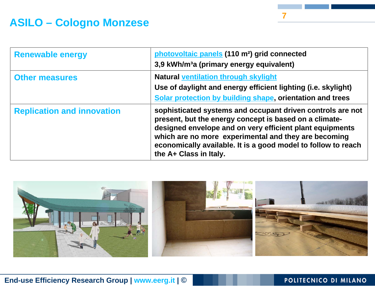## **ASILO – Cologno Monzese**

| <b>Renewable energy</b>           | photovoltaic panels (110 m <sup>2</sup> ) grid connected<br>3,9 kWh/m <sup>3</sup> a (primary energy equivalent)                                                                                                                                                                                                                    |
|-----------------------------------|-------------------------------------------------------------------------------------------------------------------------------------------------------------------------------------------------------------------------------------------------------------------------------------------------------------------------------------|
| <b>Other measures</b>             | <b>Natural ventilation through skylight</b><br>Use of daylight and energy efficient lighting (i.e. skylight)<br>Solar protection by building shape, orientation and trees                                                                                                                                                           |
| <b>Replication and innovation</b> | sophisticated systems and occupant driven controls are not<br>present, but the energy concept is based on a climate-<br>designed envelope and on very efficient plant equipments<br>which are no more experimental and they are becoming<br>economically available. It is a good model to follow to reach<br>the A+ Class in Italy. |



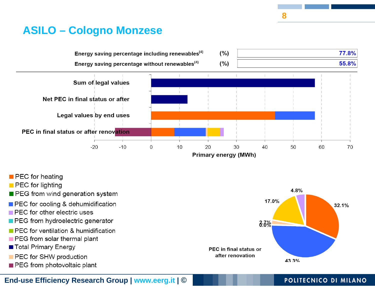## **ASILO - Cologno Monzese**



- **PEC** for heating
- **PEC** for lighting
- PEG from wind generation system
- **PEC** for cooling & dehumidification
- PEC for other electric uses
- PEG from hydroelectric generator
- **PEC** for ventilation & humidification
- PEG from solar thermal plant
- Total Primary Energy
- PEC for SHW production
- PEG from photovoltaic plant



#### POLITECNICO DI MILANO

End-use Efficiency Research Group | www.eerg.it | ©

8